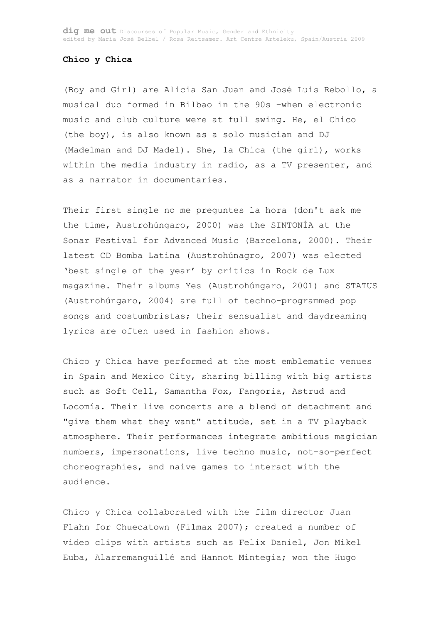## **Chico y Chica**

(Boy and Girl) are Alicia San Juan and José Luis Rebollo, a musical duo formed in Bilbao in the 90s –when electronic music and club culture were at full swing. He, el Chico (the boy), is also known as a solo musician and DJ (Madelman and DJ Madel). She, la Chica (the girl), works within the media industry in radio, as a TV presenter, and as a narrator in documentaries.

Their first single no me preguntes la hora (don't ask me the time, Austrohúngaro, 2000) was the SINTONÍA at the Sonar Festival for Advanced Music (Barcelona, 2000). Their latest CD Bomba Latina (Austrohúnagro, 2007) was elected 'best single of the year' by critics in Rock de Lux magazine. Their albums Yes (Austrohúngaro, 2001) and STATUS (Austrohúngaro, 2004) are full of techno-programmed pop songs and costumbristas; their sensualist and daydreaming lyrics are often used in fashion shows.

Chico y Chica have performed at the most emblematic venues in Spain and Mexico City, sharing billing with big artists such as Soft Cell, Samantha Fox, Fangoria, Astrud and Locomía. Their live concerts are a blend of detachment and "give them what they want" attitude, set in a TV playback atmosphere. Their performances integrate ambitious magician numbers, impersonations, live techno music, not-so-perfect choreographies, and naive games to interact with the audience.

Chico y Chica collaborated with the film director Juan Flahn for Chuecatown (Filmax 2007); created a number of video clips with artists such as Felix Daniel, Jon Mikel Euba, Alarremanguillé and Hannot Mintegia; won the Hugo